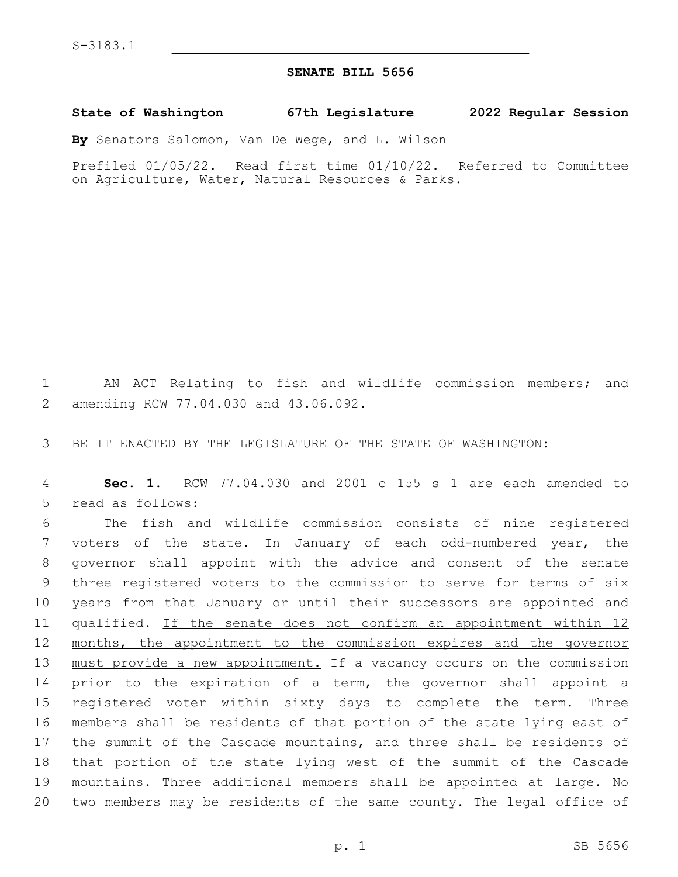## **SENATE BILL 5656**

**State of Washington 67th Legislature 2022 Regular Session**

**By** Senators Salomon, Van De Wege, and L. Wilson

Prefiled 01/05/22. Read first time 01/10/22. Referred to Committee on Agriculture, Water, Natural Resources & Parks.

1 AN ACT Relating to fish and wildlife commission members; and 2 amending RCW 77.04.030 and 43.06.092.

3 BE IT ENACTED BY THE LEGISLATURE OF THE STATE OF WASHINGTON:

4 **Sec. 1.** RCW 77.04.030 and 2001 c 155 s 1 are each amended to 5 read as follows:

 The fish and wildlife commission consists of nine registered voters of the state. In January of each odd-numbered year, the governor shall appoint with the advice and consent of the senate three registered voters to the commission to serve for terms of six years from that January or until their successors are appointed and 11 qualified. If the senate does not confirm an appointment within 12 12 months, the appointment to the commission expires and the governor 13 must provide a new appointment. If a vacancy occurs on the commission prior to the expiration of a term, the governor shall appoint a registered voter within sixty days to complete the term. Three members shall be residents of that portion of the state lying east of the summit of the Cascade mountains, and three shall be residents of that portion of the state lying west of the summit of the Cascade mountains. Three additional members shall be appointed at large. No two members may be residents of the same county. The legal office of